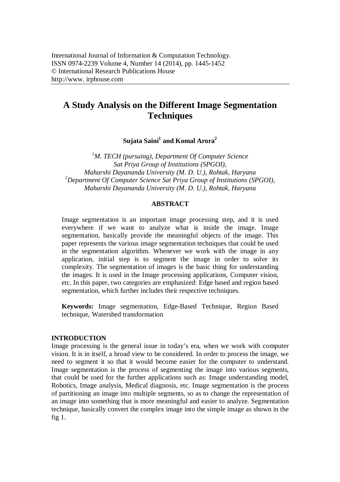# **A Study Analysis on the Different Image Segmentation Techniques**

**Sujata Saini<sup>1</sup> and Komal Arora<sup>2</sup>**

*<sup>1</sup>M. TECH (pursuing), Department Of Computer Science Sat Priya Group of Institutions (SPGOI), Maharshi Dayananda University (M. D. U.), Rohtak, Haryana <sup>2</sup>Department Of Computer Science Sat Priya Group of Institutions (SPGOI), Maharshi Dayananda University (M. D. U.), Rohtak, Haryana*

### **ABSTRACT**

Image segmentation is an important image processing step, and it is used everywhere if we want to analyze what is inside the image. Image segmentation, basically provide the meaningful objects of the image. This paper represents the various image segmentation techniques that could be used in the segmentation algorithm. Whenever we work with the image in any application, initial step is to segment the image in order to solve its complexity. The segmentation of images is the basic thing for understanding the images. It is used in the Image processing applications, Computer vision, etc. In this paper, two categories are emphasized: Edge based and region based segmentation, which further includes their respective techniques.

**Keywords:** Image segmentation, Edge-Based Technique, Region Based technique, Watershed transformation

#### **INTRODUCTION**

Image processing is the general issue in today's era, when we work with computer vision. It is in itself, a broad view to be considered. In order to process the image, we need to segment it so that it would become easier for the computer to understand. Image segmentation is the process of segmenting the image into various segments, that could be used for the further applications such as: Image understanding model, Robotics, Image analysis, Medical diagnosis, etc. Image segmentation is the process of partitioning an image into multiple segments, so as to change the representation of an image into something that is more meaningful and easier to analyze. Segmentation technique, basically convert the complex image into the simple image as shown in the fig 1.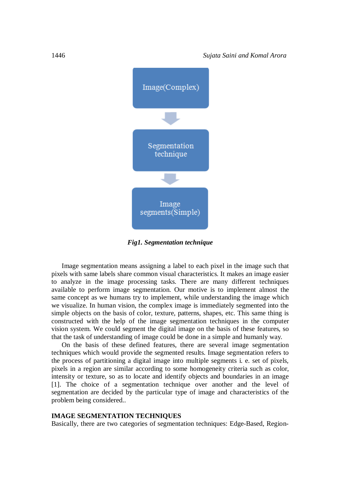

*Fig1. Segmentation technique*

Image segmentation means assigning a label to each pixel in the image such that pixels with same labels share common visual characteristics. It makes an image easier to analyze in the image processing tasks. There are many different techniques available to perform image segmentation. Our motive is to implement almost the same concept as we humans try to implement, while understanding the image which we visualize. In human vision, the complex image is immediately segmented into the simple objects on the basis of color, texture, patterns, shapes, etc. This same thing is constructed with the help of the image segmentation techniques in the computer vision system. We could segment the digital image on the basis of these features, so that the task of understanding of image could be done in a simple and humanly way.

On the basis of these defined features, there are several image segmentation techniques which would provide the segmented results. Image segmentation refers to the process of partitioning a digital image into multiple segments i. e. set of pixels, pixels in a region are similar according to some homogeneity criteria such as color, intensity or texture, so as to locate and identify objects and boundaries in an image [1]. The choice of a segmentation technique over another and the level of segmentation are decided by the particular type of image and characteristics of the problem being considered..

#### **IMAGE SEGMENTATION TECHNIQUES**

Basically, there are two categories of segmentation techniques: Edge-Based, Region-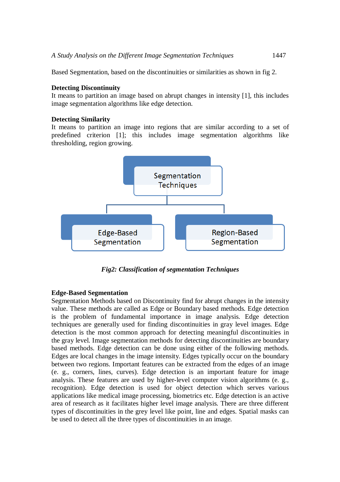Based Segmentation, based on the discontinuities or similarities as shown in fig 2.

# **Detecting Discontinuity**

It means to partition an image based on abrupt changes in intensity [1], this includes image segmentation algorithms like edge detection.

# **Detecting Similarity**

It means to partition an image into regions that are similar according to a set of predefined criterion [1]; this includes image segmentation algorithms like thresholding, region growing.



*Fig2: Classification of segmentation Techniques*

# **Edge-Based Segmentation**

Segmentation Methods based on Discontinuity find for abrupt changes in the intensity value. These methods are called as Edge or Boundary based methods. Edge detection is the problem of fundamental importance in image analysis. Edge detection techniques are generally used for finding discontinuities in gray level images. Edge detection is the most common approach for detecting meaningful discontinuities in the gray level. Image segmentation methods for detecting discontinuities are boundary based methods. Edge detection can be done using either of the following methods. Edges are local changes in the image intensity. Edges typically occur on the boundary between two regions. Important features can be extracted from the edges of an image (e. g., corners, lines, curves). Edge detection is an important feature for image analysis. These features are used by higher-level computer vision algorithms (e. g., recognition). Edge detection is used for object detection which serves various applications like medical image processing, biometrics etc. Edge detection is an active area of research as it facilitates higher level image analysis. There are three different types of discontinuities in the grey level like point, line and edges. Spatial masks can be used to detect all the three types of discontinuities in an image.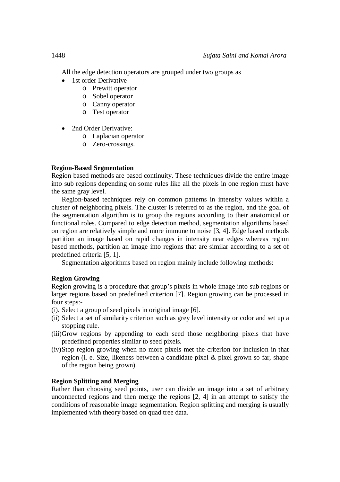All the edge detection operators are grouped under two groups as

- 1st order Derivative
	- o Prewitt operator
	- o Sobel operator
	- o Canny operator
	- o Test operator
- 2nd Order Derivative:
	- o Laplacian operator
	- o Zero-crossings.

# **Region-Based Segmentation**

Region based methods are based continuity. These techniques divide the entire image into sub regions depending on some rules like all the pixels in one region must have the same gray level.

Region-based techniques rely on common patterns in intensity values within a cluster of neighboring pixels. The cluster is referred to as the region, and the goal of the segmentation algorithm is to group the regions according to their anatomical or functional roles. Compared to edge detection method, segmentation algorithms based on region are relatively simple and more immune to noise [3, 4]. Edge based methods partition an image based on rapid changes in intensity near edges whereas region based methods, partition an image into regions that are similar according to a set of predefined criteria [5, 1].

Segmentation algorithms based on region mainly include following methods:

# **Region Growing**

Region growing is a procedure that group's pixels in whole image into sub regions or larger regions based on predefined criterion [7]. Region growing can be processed in four steps:-

- (i). Select a group of seed pixels in original image [6].
- (ii) Select a set of similarity criterion such as grey level intensity or color and set up a stopping rule.
- (iii)Grow regions by appending to each seed those neighboring pixels that have predefined properties similar to seed pixels.
- (iv)Stop region growing when no more pixels met the criterion for inclusion in that region (i. e. Size, likeness between a candidate pixel & pixel grown so far, shape of the region being grown).

# **Region Splitting and Merging**

Rather than choosing seed points, user can divide an image into a set of arbitrary unconnected regions and then merge the regions [2, 4] in an attempt to satisfy the conditions of reasonable image segmentation. Region splitting and merging is usually implemented with theory based on quad tree data.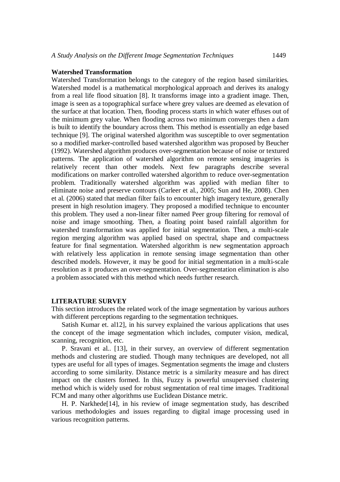#### **Watershed Transformation**

Watershed Transformation belongs to the category of the region based similarities. Watershed model is a mathematical morphological approach and derives its analogy from a real life flood situation [8]. It transforms image into a gradient image. Then, image is seen as a topographical surface where grey values are deemed as elevation of the surface at that location. Then, flooding process starts in which water effuses out of the minimum grey value. When flooding across two minimum converges then a dam is built to identify the boundary across them. This method is essentially an edge based technique [9]. The original watershed algorithm was susceptible to over segmentation so a modified marker-controlled based watershed algorithm was proposed by Beucher (1992). Watershed algorithm produces over-segmentation because of noise or textured patterns. The application of watershed algorithm on remote sensing imageries is relatively recent than other models. Next few paragraphs describe several modifications on marker controlled watershed algorithm to reduce over-segmentation problem. Traditionally watershed algorithm was applied with median filter to eliminate noise and preserve contours (Carleer et al., 2005; Sun and He, 2008). Chen et al. (2006) stated that median filter fails to encounter high imagery texture, generally present in high resolution imagery. They proposed a modified technique to encounter this problem. They used a non-linear filter named Peer group filtering for removal of noise and image smoothing. Then, a floating point based rainfall algorithm for watershed transformation was applied for initial segmentation. Then, a multi-scale region merging algorithm was applied based on spectral, shape and compactness feature for final segmentation. Watershed algorithm is new segmentation approach with relatively less application in remote sensing image segmentation than other described models. However, it may be good for initial segmentation in a multi-scale resolution as it produces an over-segmentation. Over-segmentation elimination is also a problem associated with this method which needs further research.

#### **LITERATURE SURVEY**

This section introduces the related work of the image segmentation by various authors with different perceptions regarding to the segmentation techniques.

Satish Kumar et. al12], in his survey explained the various applications that uses the concept of the image segmentation which includes, computer vision, medical, scanning, recognition, etc.

P. Sravani et al.. [13], in their survey, an overview of different segmentation methods and clustering are studied. Though many techniques are developed, not all types are useful for all types of images. Segmentation segments the image and clusters according to some similarity. Distance metric is a similarity measure and has direct impact on the clusters formed. In this, Fuzzy is powerful unsupervised clustering method which is widely used for robust segmentation of real time images. Traditional FCM and many other algorithms use Euclidean Distance metric.

H. P. Narkhede[14], in his review of image segmentation study, has described various methodologies and issues regarding to digital image processing used in various recognition patterns.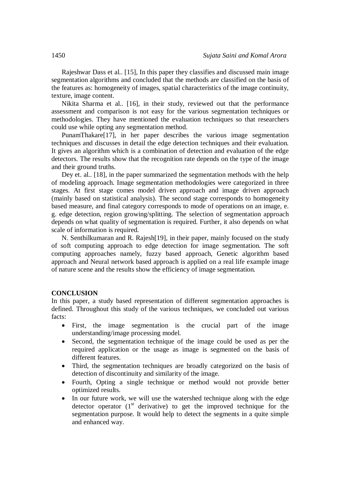Rajeshwar Dass et al.. [15], In this paper they classifies and discussed main image segmentation algorithms and concluded that the methods are classified on the basis of the features as: homogeneity of images, spatial characteristics of the image continuity, texture, image content.

Nikita Sharma et al.. [16], in their study, reviewed out that the performance assessment and comparison is not easy for the various segmentation techniques or methodologies. They have mentioned the evaluation techniques so that researchers could use while opting any segmentation method.

PunamThakare[17], in her paper describes the various image segmentation techniques and discusses in detail the edge detection techniques and their evaluation. It gives an algorithm which is a combination of detection and evaluation of the edge detectors. The results show that the recognition rate depends on the type of the image and their ground truths.

Dey et. al.. [18], in the paper summarized the segmentation methods with the help of modeling approach. Image segmentation methodologies were categorized in three stages. At first stage comes model driven approach and image driven approach (mainly based on statistical analysis). The second stage corresponds to homogeneity based measure, and final category corresponds to mode of operations on an image, e. g. edge detection, region growing/splitting. The selection of segmentation approach depends on what quality of segmentation is required. Further, it also depends on what scale of information is required.

N. Senthilkumaran and R. Rajesh[19], in their paper, mainly focused on the study of soft computing approach to edge detection for image segmentation. The soft computing approaches namely, fuzzy based approach, Genetic algorithm based approach and Neural network based approach is applied on a real life example image of nature scene and the results show the efficiency of image segmentation.

#### **CONCLUSION**

In this paper, a study based representation of different segmentation approaches is defined. Throughout this study of the various techniques, we concluded out various facts:

- First, the image segmentation is the crucial part of the image understanding/image processing model.
- Second, the segmentation technique of the image could be used as per the required application or the usage as image is segmented on the basis of different features.
- Third, the segmentation techniques are broadly categorized on the basis of detection of discontinuity and similarity of the image.
- Fourth, Opting a single technique or method would not provide better optimized results.
- In our future work, we will use the watershed technique along with the edge detector operator (1<sup>st</sup> derivative) to get the improved technique for the segmentation purpose. It would help to detect the segments in a quite simple and enhanced way.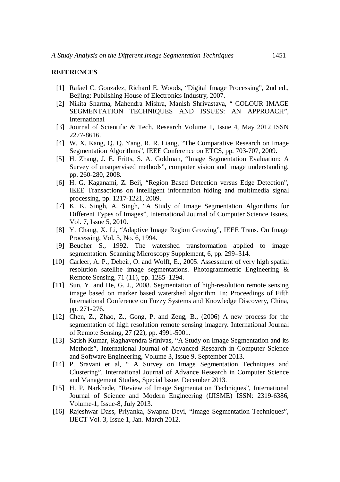#### **REFERENCES**

- [1] Rafael C. Gonzalez, Richard E. Woods, "Digital Image Processing", 2nd ed., Beijing: Publishing House of Electronics Industry, 2007.
- [2] Nikita Sharma, Mahendra Mishra, Manish Shrivastava, " COLOUR IMAGE SEGMENTATION TECHNIQUES AND ISSUES: AN APPROACH", International
- [3] Journal of Scientific & Tech. Research Volume 1, Issue 4, May 2012 ISSN 2277-8616.
- [4] W. X. Kang, Q. Q. Yang, R. R. Liang, "The Comparative Research on Image Segmentation Algorithms", IEEE Conference on ETCS, pp. 703-707, 2009.
- [5] H. Zhang, J. E. Fritts, S. A. Goldman, "Image Segmentation Evaluation: A Survey of unsupervised methods", computer vision and image understanding, pp. 260-280, 2008.
- [6] H. G. Kaganami, Z. Beij, "Region Based Detection versus Edge Detection", IEEE Transactions on Intelligent information hiding and multimedia signal processing, pp. 1217-1221, 2009.
- [7] K. K. Singh, A. Singh, "A Study of Image Segmentation Algorithms for Different Types of Images", International Journal of Computer Science Issues, Vol. 7, Issue 5, 2010.
- [8] Y. Chang, X. Li, "Adaptive Image Region Growing", IEEE Trans. On Image Processing, Vol. 3, No. 6, 1994.
- [9] Beucher S., 1992. The watershed transformation applied to image segmentation. Scanning Microscopy Supplement, 6, pp. 299–314.
- [10] Carleer, A. P., Debeir, O. and Wolff, E., 2005. Assessment of very high spatial resolution satellite image segmentations. Photogrammetric Engineering & Remote Sensing, 71 (11), pp. 1285–1294.
- [11] Sun, Y. and He, G. J., 2008. Segmentation of high-resolution remote sensing image based on marker based watershed algorithm. In: Proceedings of Fifth International Conference on Fuzzy Systems and Knowledge Discovery, China, pp. 271-276.
- [12] Chen, Z., Zhao, Z., Gong, P. and Zeng, B., (2006) A new process for the segmentation of high resolution remote sensing imagery. International Journal of Remote Sensing, 27 (22), pp. 4991-5001.
- [13] Satish Kumar, Raghavendra Srinivas, "A Study on Image Segmentation and its Methods", International Journal of Advanced Research in Computer Science and Software Engineering, Volume 3, Issue 9, September 2013.
- [14] P. Sravani et al, " A Survey on Image Segmentation Techniques and Clustering", International Journal of Advance Research in Computer Science and Management Studies, Special Issue, December 2013.
- [15] H. P. Narkhede, "Review of Image Segmentation Techniques", International Journal of Science and Modern Engineering (IJISME) ISSN: 2319-6386, Volume-1, Issue-8, July 2013.
- [16] Rajeshwar Dass, Priyanka, Swapna Devi, "Image Segmentation Techniques", IJECT Vol. 3, Issue 1, Jan.-March 2012.